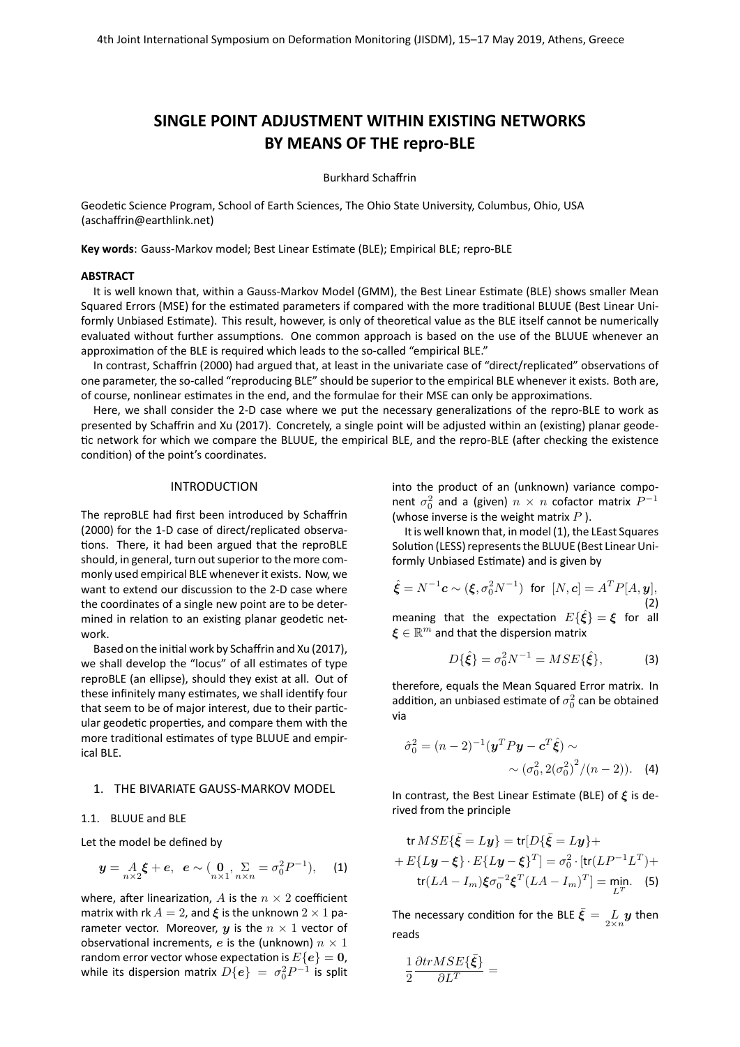# **SINGLE POINT ADJUSTMENT WITHIN EXISTING NETWORKS BY MEANS OF THE repro-BLE**

Burkhard Schaffrin

Geodetic Science Program, School of Earth Sciences, The Ohio State University, Columbus, Ohio, USA [\(aschaffrin@earthlink.net\)](mailto:aschaffrin@earthlink.net)

**Key words**: Gauss-Markov model; Best Linear Estimate (BLE); Empirical BLE; repro-BLE

#### **ABSTRACT**

It is well known that, within a Gauss-Markov Model (GMM), the Best Linear Estimate (BLE) shows smaller Mean Squared Errors (MSE) for the estimated parameters if compared with the more traditional BLUUE (Best Linear Uniformly Unbiased Estimate). This result, however, is only of theoretical value as the BLE itself cannot be numerically evaluated without further assumptions. One common approach is based on the use of the BLUUE whenever an approximation of the BLE is required which leads to the so-called "empirical BLE."

In contrast, Schaffrin [\(2000\)](#page-3-0) had argued that, at least in the univariate case of "direct/replicated" observations of one parameter, the so-called "reproducing BLE" should be superior to the empirical BLE whenever it exists. Both are, of course, nonlinear estimates in the end, and the formulae for their MSE can only be approximations.

Here, we shall consider the 2-D case where we put the necessary generalizations of the repro-BLE to work as presented by Schaffrin and Xu [\(2017\)](#page-3-1). Concretely, a single point will be adjusted within an (existing) planar geodetic network for which we compare the BLUUE, the empirical BLE, and the repro-BLE (after checking the existence condition) of the point's coordinates.

## INTRODUCTION

The reproBLE had first been introduced by Schaffrin [\(2000\)](#page-3-0) for the 1-D case of direct/replicated observations. There, it had been argued that the reproBLE should, in general, turn out superior to the more commonly used empirical BLE whenever it exists. Now, we want to extend our discussion to the 2-D case where the coordinates of a single new point are to be determined in relation to an existing planar geodetic network.

Based on the initial work by Schaffrin and Xu [\(2017\)](#page-3-1), we shall develop the "locus" of all estimates of type reproBLE (an ellipse), should they exist at all. Out of these infinitely many estimates, we shall identify four that seem to be of major interest, due to their particular geodetic properties, and compare them with the more traditional estimates of type BLUUE and empirical BLE.

### 1. THE BIVARIATE GAUSS-MARKOV MODEL

#### 1.1. BLUUE and BLE

Let the model be defined by

<span id="page-0-0"></span>
$$
y = A_0 \xi + e, e \sim (\underset{n \times 1}{0}, \underset{n \times n}{\Sigma} = \sigma_0^2 P^{-1}),
$$
 (1)

where, after linearization, A is the  $n \times 2$  coefficient matrix with rk  $A = 2$ , and  $\xi$  is the unknown  $2 \times 1$  parameter vector. Moreover, y is the  $n \times 1$  vector of observational increments, e is the (unknown)  $n \times 1$ random error vector whose expectation is  $E\{e\} = 0$ , while its dispersion matrix  $D\{ \boldsymbol{e} \} ~=~ \sigma_0^2 P^{-1}$  is split

into the product of an (unknown) variance component  $\sigma_0^2$  and a (given)  $n \times n$  cofactor matrix  $P^{-1}$ (whose inverse is the weight matrix  $P$ ).

It is well known that, in model [\(1\)](#page-0-0), the LEast Squares Solution (LESS) represents the BLUUE (Best Linear Uniformly Unbiased Estimate) and is given by

$$
\hat{\xi} = N^{-1}c \sim (\xi, \sigma_0^2 N^{-1}) \text{ for } [N, c] = A^T P[A, y],
$$
\n(2)

meaning that the expectation  $E\{\hat{\xi}\} = \xi$  for all  $\boldsymbol{\xi} \in \mathbb{R}^m$  and that the dispersion matrix

$$
D\{\hat{\xi}\} = \sigma_0^2 N^{-1} = MSE\{\hat{\xi}\},\tag{3}
$$

therefore, equals the Mean Squared Error matrix. In addition, an unbiased estimate of  $\sigma_0^2$  can be obtained via

$$
\hat{\sigma}_0^2 = (n-2)^{-1} (\mathbf{y}^T P \mathbf{y} - \mathbf{c}^T \hat{\xi}) \sim
$$
  
 
$$
\sim (\sigma_0^2, 2(\sigma_0^2)^2 / (n-2)). \quad (4)
$$

In contrast, the Best Linear Estimate (BLE) of  $\xi$  is derived from the principle

$$
\operatorname{tr} MSE{\bar{\xi}} = Ly\} = \operatorname{tr}[D{\bar{\xi}} = Ly] +
$$

$$
+ E\{Ly - \xi\} \cdot E\{Ly - \xi\}^T] = \sigma_0^2 \cdot [\operatorname{tr}(LP^{-1}L^T) +
$$

$$
\operatorname{tr}(LA - I_m)\xi \sigma_0^{-2} \xi^T (LA - I_m)^T] = \min_{L^T}.
$$
 (5)

The necessary condition for the BLE  $\bar{\boldsymbol{\xi}} = \frac{L}{2 \times n} \boldsymbol{y}$  then reads

$$
\frac{1}{2}\frac{\partial trMSE\{{\bar{\pmb{\xi}}}\}}{\partial L^T}=
$$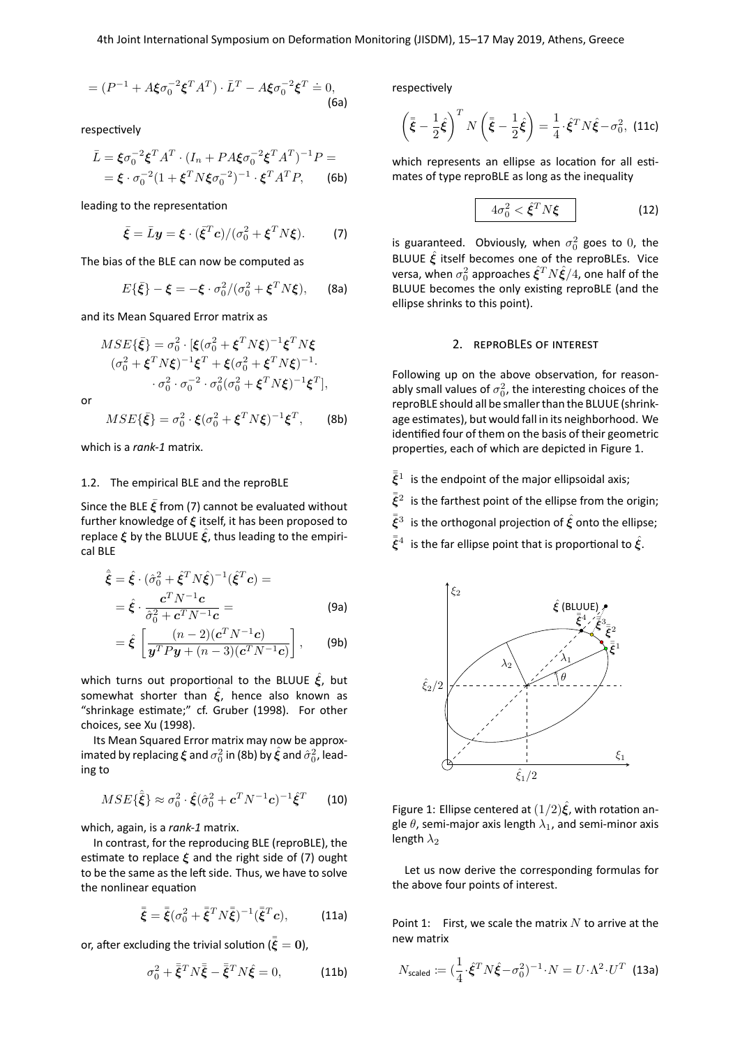$$
= (P^{-1} + A\xi\sigma_0^{-2}\xi^T A^T) \cdot \bar{L}^T - A\xi\sigma_0^{-2}\xi^T \doteq 0,
$$
\n(6a)

respectively

$$
\bar{L} = \xi \sigma_0^{-2} \xi^T A^T \cdot (I_n + PA\xi \sigma_0^{-2} \xi^T A^T)^{-1} P =
$$
  
=  $\xi \cdot \sigma_0^{-2} (1 + \xi^T N \xi \sigma_0^{-2})^{-1} \cdot \xi^T A^T P,$  (6b)

leading to the representation

<span id="page-1-0"></span>
$$
\bar{\xi} = \bar{L}y = \xi \cdot (\bar{\xi}^T c) / (\sigma_0^2 + \xi^T N \xi). \tag{7}
$$

The bias of the BLE can now be computed as

$$
E\{\bar{\xi}\} - \xi = -\xi \cdot \sigma_0^2 / (\sigma_0^2 + \xi^T N \xi), \quad \text{(8a)}
$$

and its Mean Squared Error matrix as

$$
MSE\{\bar{\xi}\} = \sigma_0^2 \cdot [\xi(\sigma_0^2 + \xi^T N \xi)^{-1} \xi^T N \xi
$$
  

$$
(\sigma_0^2 + \xi^T N \xi)^{-1} \xi^T + \xi(\sigma_0^2 + \xi^T N \xi)^{-1}.
$$
  

$$
\sigma_0^2 \cdot \sigma_0^{-2} \cdot \sigma_0^2 (\sigma_0^2 + \xi^T N \xi)^{-1} \xi^T],
$$

or

$$
MSE\{\bar{\xi}\} = \sigma_0^2 \cdot \xi(\sigma_0^2 + \xi^T N \xi)^{-1} \xi^T, \qquad \text{(8b)}
$$

which is a *rank-1* matrix.

## 1.2. The empirical BLE and the reproBLE

Since the BLE  $\bar{\xi}$  from [\(7\)](#page-1-0) cannot be evaluated without further knowledge of  $\xi$  itself, it has been proposed to replace  $\xi$  by the BLUUE  $\xi$ , thus leading to the empirical BLE

$$
\hat{\tilde{\boldsymbol{\xi}}} = \hat{\boldsymbol{\xi}} \cdot (\hat{\sigma}_0^2 + \hat{\boldsymbol{\xi}}^T N \hat{\boldsymbol{\xi}})^{-1} (\hat{\boldsymbol{\xi}}^T \boldsymbol{c}) =
$$

$$
= \hat{\boldsymbol{\xi}} \cdot \frac{\boldsymbol{c}^T N^{-1} \boldsymbol{c}}{\hat{\sigma}_0^2 + \boldsymbol{c}^T N^{-1} \boldsymbol{c}} =
$$
(9a)

$$
= \hat{\boldsymbol{\xi}} \left[ \frac{(n-2)(\boldsymbol{c}^T N^{-1} \boldsymbol{c})}{\boldsymbol{y}^T P \boldsymbol{y} + (n-3)(\boldsymbol{c}^T N^{-1} \boldsymbol{c})} \right], \qquad \text{(9b)}
$$

which turns out proportional to the BLUUE  $\hat{\xi}$ , but somewhat shorter than  $\hat{\xi}$ , hence also known as "shrinkage estimate;" cf. Gruber [\(1998\)](#page-2-0). For other choices, see Xu [\(1998\)](#page-3-2).

Its Mean Squared Error matrix may now be approximated by replacing  $\bm{\xi}$  and  $\sigma_0^2$  in [\(8b\)](#page-1-1) by  $\hat{\bm{\xi}}$  and  $\hat{\sigma}_0^2$ , leading to

$$
MSE\{\hat{\bar{\boldsymbol{\xi}}}\}\approx\sigma_0^2\cdot\hat{\boldsymbol{\xi}}(\hat{\sigma}_0^2+\boldsymbol{c}^T\boldsymbol{N}^{-1}\boldsymbol{c})^{-1}\hat{\boldsymbol{\xi}}^T
$$
 (10)

which, again, is a *rank-1* matrix.

In contrast, for the reproducing BLE (reproBLE), the estimate to replace  $\xi$  and the right side of [\(7\)](#page-1-0) ought to be the same as the left side. Thus, we have to solve the nonlinear equation

$$
\bar{\bar{\xi}} = \bar{\bar{\xi}} (\sigma_0^2 + \bar{\bar{\xi}}^T N \bar{\bar{\xi}})^{-1} (\bar{\bar{\xi}}^T c), \quad (11a)
$$

or, after excluding the trivial solution ( $\bar{\bar{\xi}} = 0$ ),

<span id="page-1-3"></span>
$$
\sigma_0^2 + \bar{\bar{\xi}}^T N \bar{\bar{\xi}} - \bar{\bar{\xi}}^T N \hat{\xi} = 0, \qquad (11b)
$$

respectively

$$
\left(\bar{\bar{\xi}} - \frac{1}{2}\hat{\xi}\right)^T N \left(\bar{\bar{\xi}} - \frac{1}{2}\hat{\xi}\right) = \frac{1}{4} \cdot \hat{\xi}^T N \hat{\xi} - \sigma_0^2, \text{ (11c)}
$$

which represents an ellipse as location for all estimates of type reproBLE as long as the inequality

<span id="page-1-4"></span>
$$
4\sigma_0^2 < \hat{\xi}^T N \xi
$$
 (12)

is guaranteed. Obviously, when  $\sigma_0^2$  goes to 0, the BLUUE  $\hat{\xi}$  itself becomes one of the reproBLEs. Vice versa, when  $\sigma_0^2$  approaches  $\hat{\xi}^T N \hat{\xi}/4$ , one half of the BLUUE becomes the only existing reproBLE (and the ellipse shrinks to this point).

## 2. REPROBLES OF INTEREST

<span id="page-1-1"></span>Following up on the above observation, for reasonably small values of  $\sigma_0^2$ , the interesting choices of the reproBLE should all be smaller than the BLUUE (shrinkage estimates), but would fall in its neighborhood. We identified four of them on the basis of their geometric properties, each of which are depicted in Figure [1.](#page-1-2)

- $\bar{\bar{\xi}}^1$  is the endpoint of the major ellipsoidal axis;
- $\bar{\bar{\xi}}^2$  is the farthest point of the ellipse from the origin;
- $\bar{\bar{\xi}}^3$  is the orthogonal projection of  $\hat{\xi}$  onto the ellipse;
- $\bar{\bar{\xi}}^4$  is the far ellipse point that is proportional to  $\hat{\xi}$ .



<span id="page-1-2"></span>Figure 1: Ellipse centered at  $(1/2)\hat{\xi}$ , with rotation angle  $\theta$ , semi-major axis length  $\lambda_1$ , and semi-minor axis length  $\lambda_2$ 

Let us now derive the corresponding formulas for the above four points of interest.

Point 1: First, we scale the matrix  $N$  to arrive at the new matrix

$$
N_{\text{scaled}} \coloneqq (\frac{1}{4} \cdot \hat{\xi}^T N \hat{\xi} - \sigma_0^2)^{-1} \cdot N = U \cdot \Lambda^2 \cdot U^T \tag{13a}
$$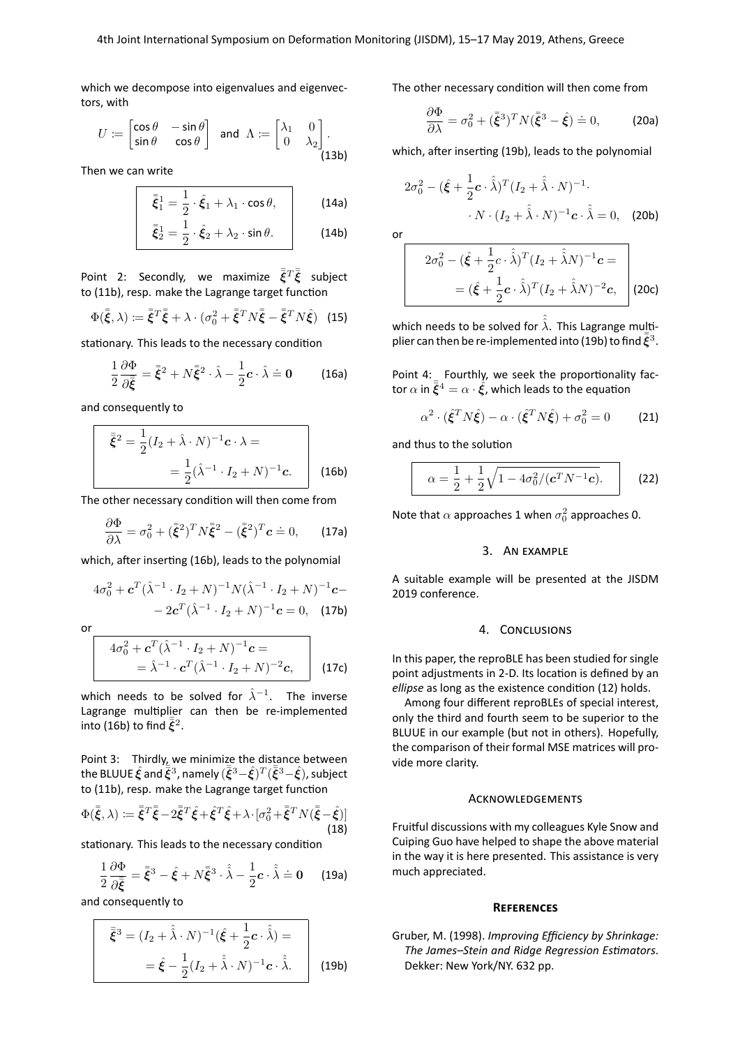which we decompose into eigenvalues and eigenvectors, with

$$
U \coloneqq \begin{bmatrix} \cos \theta & -\sin \theta \\ \sin \theta & \cos \theta \end{bmatrix} \quad \text{and} \quad \Lambda \coloneqq \begin{bmatrix} \lambda_1 & 0 \\ 0 & \lambda_2 \end{bmatrix} . \tag{13b}
$$

Then we can write

$$
\bar{\xi}_1^1 = \frac{1}{2} \cdot \hat{\xi}_1 + \lambda_1 \cdot \cos \theta, \qquad (14a)
$$

$$
\bar{\xi}_2^1 = \frac{1}{2} \cdot \hat{\xi}_2 + \lambda_2 \cdot \sin \theta. \tag{14b}
$$

Point 2: Secondly, we maximize  $\bar{\bar{\boldsymbol{\xi}}}^T \bar{\boldsymbol{\xi}}$  subject to [\(11b\)](#page-1-3), resp. make the Lagrange target function

$$
\Phi(\bar{\bar{\xi}}, \lambda) := \bar{\bar{\xi}}^T \bar{\bar{\xi}} + \lambda \cdot (\sigma_0^2 + \bar{\bar{\xi}}^T N \bar{\bar{\xi}} - \bar{\bar{\xi}}^T N \hat{\xi}) \tag{15}
$$

stationary. This leads to the necessary condition

$$
\frac{1}{2}\frac{\partial \Phi}{\partial \bar{\xi}} = \bar{\xi}^2 + N\bar{\xi}^2 \cdot \hat{\lambda} - \frac{1}{2}c \cdot \hat{\lambda} = 0 \quad (16a)
$$

and consequently to

$$
\bar{\xi}^{2} = \frac{1}{2} (I_{2} + \hat{\lambda} \cdot N)^{-1} \mathbf{c} \cdot \lambda =
$$

$$
= \frac{1}{2} (\hat{\lambda}^{-1} \cdot I_{2} + N)^{-1} \mathbf{c}.
$$
 (16b)

The other necessary condition will then come from

$$
\frac{\partial \Phi}{\partial \lambda} = \sigma_0^2 + (\bar{\xi}^2)^T N \bar{\xi}^2 - (\bar{\xi}^2)^T c \doteq 0, \qquad \text{(17a)}
$$

which, after inserting [\(16b\)](#page-2-1), leads to the polynomial

$$
4\sigma_0^2 + \mathbf{c}^T (\hat{\lambda}^{-1} \cdot I_2 + N)^{-1} N (\hat{\lambda}^{-1} \cdot I_2 + N)^{-1} \mathbf{c} -
$$
  
- 2\mathbf{c}^T (\hat{\lambda}^{-1} \cdot I\_2 + N)^{-1} \mathbf{c} = 0, (17b)

or

$$
4\sigma_0^2 + \mathbf{c}^T (\hat{\lambda}^{-1} \cdot I_2 + N)^{-1} \mathbf{c} =
$$
  
=  $\hat{\lambda}^{-1} \cdot \mathbf{c}^T (\hat{\lambda}^{-1} \cdot I_2 + N)^{-2} \mathbf{c},$  (17c)

which needs to be solved for  $\hat{\lambda}^{-1}$ . The inverse Lagrange multiplier can then be re-implemented into [\(16b\)](#page-2-1) to find  $\bar{\bar{\xi}}^2$ .

Point 3: Thirdly, we minimize the distance between the BLUUE  $\hat{\xi}$  and  $\overline{\tilde{\xi}}^3$  , namely  $(\overline{\tilde{\xi}}^3-\hat{\xi})^T(\overline{\tilde{\xi}}^3-\hat{\xi})$  , subject to [\(11b\)](#page-1-3), resp. make the Lagrange target function

$$
\Phi(\bar{\xi}, \lambda) := \bar{\bar{\xi}}^T \bar{\xi} - 2\bar{\bar{\xi}}^T \hat{\xi} + \hat{\xi}^T \hat{\xi} + \lambda \cdot [\sigma_0^2 + \bar{\bar{\xi}}^T N (\bar{\xi} - \hat{\xi})]
$$
\n(18)

stationary. This leads to the necessary condition

$$
\frac{1}{2}\frac{\partial \Phi}{\partial \bar{\xi}} = \bar{\xi}^3 - \hat{\xi} + N\bar{\xi}^3 \cdot \hat{\lambda} - \frac{1}{2}\mathbf{c} \cdot \hat{\lambda} \doteq 0 \quad (19a)
$$

and consequently to

$$
\begin{aligned}\n\bar{\xi}^3 &= (I_2 + \hat{\hat{\lambda}} \cdot N)^{-1} (\hat{\xi} + \frac{1}{2} \mathbf{c} \cdot \hat{\hat{\lambda}}) = \\
&= \hat{\xi} - \frac{1}{2} (I_2 + \hat{\hat{\lambda}} \cdot N)^{-1} \mathbf{c} \cdot \hat{\hat{\lambda}}.\n\end{aligned}
$$
\n(19b)

The other necessary condition will then come from

$$
\frac{\partial \Phi}{\partial \lambda} = \sigma_0^2 + (\bar{\xi}^3)^T N (\bar{\xi}^3 - \hat{\xi}) \doteq 0,
$$
 (20a)

which, after inserting [\(19b\)](#page-2-2), leads to the polynomial

$$
2\sigma_0^2 - (\hat{\xi} + \frac{1}{2}\mathbf{c} \cdot \hat{\lambda})^T (I_2 + \hat{\lambda} \cdot N)^{-1}.
$$

$$
\cdot N \cdot (I_2 + \hat{\lambda} \cdot N)^{-1} \mathbf{c} \cdot \hat{\lambda} = 0, \quad \text{(20b)}
$$

$$
2\sigma_0^2 - (\hat{\boldsymbol{\xi}} + \frac{1}{2}\boldsymbol{c} \cdot \hat{\boldsymbol{\lambda}})^T (I_2 + \hat{\boldsymbol{\lambda}} N)^{-1} \boldsymbol{c} =
$$
  
= 
$$
(\hat{\boldsymbol{\xi}} + \frac{1}{2}\boldsymbol{c} \cdot \hat{\boldsymbol{\lambda}})^T (I_2 + \hat{\boldsymbol{\lambda}} N)^{-2} \boldsymbol{c},
$$
 (20c)

which needs to be solved for  $\hat{\hat{\lambda}}$ . This Lagrange multi-plier can then be re-implemented into [\(19b\)](#page-2-2) to find  $\bar{\bar{\xi}}^3$ .

Point 4: Fourthly, we seek the proportionality factor  $\alpha$  in  $\bar{\bar{\xi}}^4 = \alpha \cdot \hat{\xi}$ , which leads to the equation

$$
\alpha^2 \cdot (\hat{\xi}^T N \hat{\xi}) - \alpha \cdot (\hat{\xi}^T N \hat{\xi}) + \sigma_0^2 = 0 \tag{21}
$$

<span id="page-2-1"></span>and thus to the solution

$$
\alpha = \frac{1}{2} + \frac{1}{2} \sqrt{1 - 4\sigma_0^2 / (c^T N^{-1} c)}.
$$
 (22)

Note that  $\alpha$  approaches 1 when  $\sigma_0^2$  approaches 0.

## 3. AN EXAMPLE

A suitable example will be presented at the JISDM 2019 conference.

### 4. CONCLUSIONS

In this paper, the reproBLE has been studied for single point adjustments in 2-D. Its location is defined by an *ellipse* as long as the existence condition [\(12\)](#page-1-4) holds.

Among four different reproBLEs of special interest, only the third and fourth seem to be superior to the BLUUE in our example (but not in others). Hopefully, the comparison of their formal MSE matrices will provide more clarity.

## **ACKNOWLEDGEMENTS**

Fruitful discussions with my colleagues Kyle Snow and Cuiping Guo have helped to shape the above material in the way it is here presented. This assistance is very much appreciated.

#### **REFERENCES**

<span id="page-2-2"></span><span id="page-2-0"></span>Gruber, M. (1998). *Improving Efficiency by Shrinkage: The James–Stein and Ridge Regression Estimators*. Dekker: New York/NY. 632 pp.